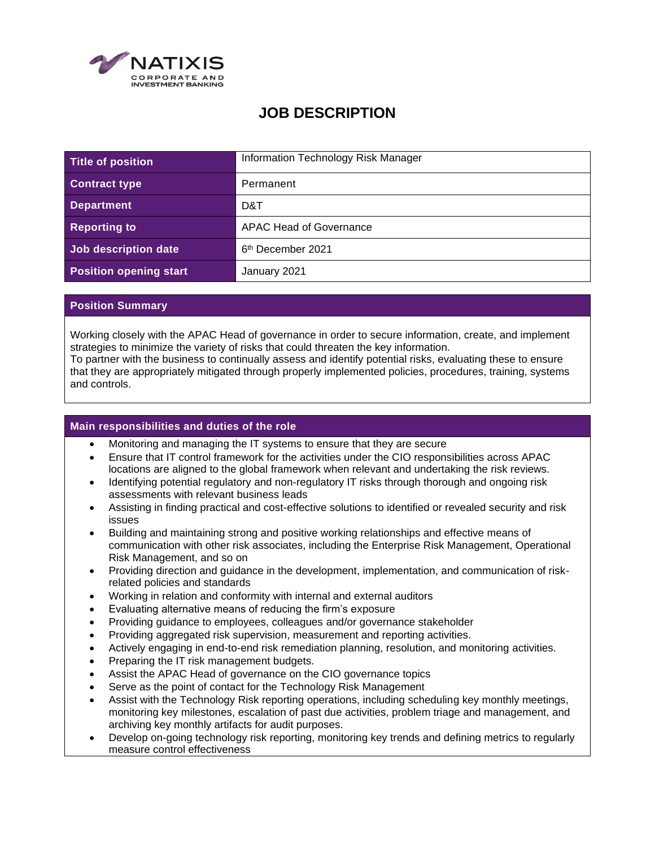

# **JOB DESCRIPTION**

| Title of position             | Information Technology Risk Manager |
|-------------------------------|-------------------------------------|
| <b>Contract type</b>          | Permanent                           |
| <b>Department</b>             | D&T                                 |
| <b>Reporting to</b>           | <b>APAC Head of Governance</b>      |
| Job description date          | 6 <sup>th</sup> December 2021       |
| <b>Position opening start</b> | January 2021                        |

## **Position Summary**

and controls.

Working closely with the APAC Head of governance in order to secure information, create, and implement strategies to minimize the variety of risks that could threaten the key information. To partner with the business to continually assess and identify potential risks, evaluating these to ensure that they are appropriately mitigated through properly implemented policies, procedures, training, systems

#### **Main responsibilities and duties of the role**

- Monitoring and managing the IT systems to ensure that they are secure
- Ensure that IT control framework for the activities under the CIO responsibilities across APAC locations are aligned to the global framework when relevant and undertaking the risk reviews.
- Identifying potential regulatory and non-regulatory IT risks through thorough and ongoing risk assessments with relevant business leads
- Assisting in finding practical and cost-effective solutions to identified or revealed security and risk issues
- Building and maintaining strong and positive working relationships and effective means of communication with other risk associates, including the Enterprise Risk Management, Operational Risk Management, and so on
- Providing direction and guidance in the development, implementation, and communication of riskrelated policies and standards
- Working in relation and conformity with internal and external auditors
- Evaluating alternative means of reducing the firm's exposure
- Providing guidance to employees, colleagues and/or governance stakeholder
- Providing aggregated risk supervision, measurement and reporting activities.
- Actively engaging in end-to-end risk remediation planning, resolution, and monitoring activities.
- Preparing the IT risk management budgets.
- Assist the APAC Head of governance on the CIO governance topics
- Serve as the point of contact for the Technology Risk Management
- Assist with the Technology Risk reporting operations, including scheduling key monthly meetings, monitoring key milestones, escalation of past due activities, problem triage and management, and archiving key monthly artifacts for audit purposes.
- Develop on-going technology risk reporting, monitoring key trends and defining metrics to regularly measure control effectiveness